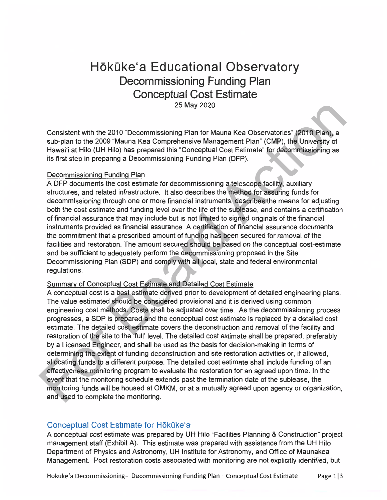# **Hōkūke'a Educational Observatory Decommissioning Funding Plan Conceptual Cost Estimate**  25 May 2020

Consistent with the 2010 "Decommissioning Plan for Mauna Kea Observatories" (2010 Plan), a sub-plan to the 2009 "Mauna Kea Comprehensive Management Plan" (CMP), the University of Hawai'i at Hilo (UH Hilo) has prepared this "Conceptual Cost Estimate" for decommissioning as its first step in preparing a Decommissioning Funding Plan (DFP).

#### Decommissioning Funding Plan

A DFP documents the cost estimate for decommissioning a telescope facility, auxiliary structures, and related infrastructure. It also describes the method for assuring funds for decommissioning through one or more financial instruments, describes the means for adjusting both the cost estimate and funding level over the life of the sublease, and contains a certification of financial assurance that may include but is not limited to signed originals of the financial instruments provided as financial assurance. A certification of financial assurance documents the commitment that a prescribed amount of funding has been secured for removal of the facilities and restoration. The amount secured should be based on the conceptual cost-estimate and be sufficient to adequately perform the decommissioning proposed in the Site Decommissioning Plan (SOP) and comply with all local, state and federal environmental regulations.

#### Summary of Conceptual Cost Estimate and Detailed Cost Estimate

25 May 2020<br>
Consistent with the 2010 "Decommissioning Plan for Mauna Kea Observatories" (2010 Plan), a sub-plan to the 2009 "Mauna Kea Comprehensive Management Plan" (CMP), the University of Havani at Hinli (UH Hinli) has A conceptual cost is a best estimate derived prior to development of detailed engineering plans. The value estimated should be considered provisional and it is derived using common engineering cost methods. Costs shall be adjusted over time. As the decommissioning process progresses, a SOP is prepared and the conceptual cost estimate is replaced by a detailed cost estimate. The detailed cost estimate covers the deconstruction and removal of the facility and restoration of the site to the 'full' level. The detailed cost estimate shall be prepared, preferably by a Licensed Engineer, and shall be used as the basis for decision-making in terms of determining the extent of funding deconstruction and site restoration activities or, if allowed, allocating funds to a different purpose. The detailed cost estimate shall include funding of an effectiveness monitoring program to evaluate the restoration for an agreed upon time. In the event that the monitoring schedule extends past the termination date of the sublease, the monitoring funds will be housed at **OMKM,** or at a mutually agreed upon agency or organization, and used to complete the monitoring.

#### Conceptual Cost Estimate for Hokūke'a

A conceptual cost estimate was prepared by UH Hilo "Facilities Planning & Construction" project management staff (Exhibit A). This estimate was prepared with assistance from the UH Hilo Department of Physics and Astronomy, UH Institute for Astronomy, and Office of Maunakea Management. Post-restoration costs associated with monitoring are not explicitly identified, but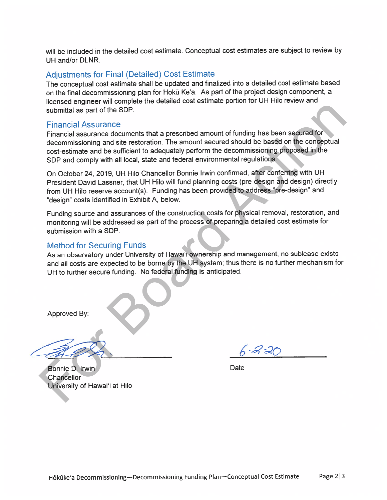will be included in the detailed cost estimate. Conceptual cost estimates are subject to review by UH and/or DLNR.

## Adjustments for Final (Detailed) Cost Estimate

The conceptual cost estimate shall be updated and finalized into a detailed cost estimate based on the final decommissioning plan for Hōkū Ke'a. As part of the project design component, a licensed engineer will complete the detailed cost estimate portion for UH Hilo review and submittal as part of the SOP.

#### Financial Assurance

no submitted as part of the signal and the signal and the signal and the signal and the signal and the signal and the signal and the signal and the signal and the signal and the signal and the signal and the signal and the Financial assurance documents that a prescribed amount of funding has been secured for decommissioning and site restoration. The amount secured should be based on the conceptual cost-estimate and be sufficient to adequately perform the decommissioning proposed in the SOP and comply with all local, state and federal environmental regulations.

On October 24, 2019, UH Hilo Chancellor Bonnie Irwin confirmed, after conferring with UH President David Lassner, that UH Hilo will fund planning costs (pre-design and design) directly from UH Hilo reserve account(s). Funding has been provided to address "pre-design" and "design" costs identified in Exhibit A, below.

Funding source and assurances of the construction costs for physical removal, restoration, and monitoring will be addressed as part of the process of preparing a detailed cost estimate for submission with a SOP.

## Method for Securing Funds

As an observatory under University of Hawai'i ownership and management, no sublease exists and all costs are expected to be borne by the UH system; thus there is no further mechanism for UH to further secure funding. No federal funding is anticipated.

Approved By:

Date

Bonnie D. Irwin **Chancellor** University of Hawai'i at Hilo